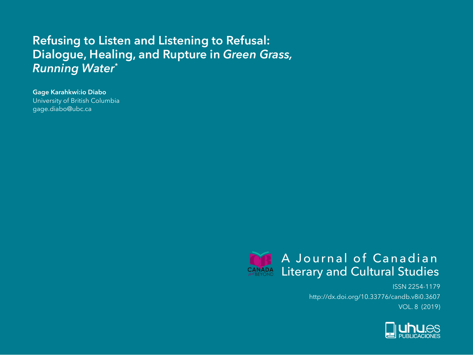## **Refusing to Listen and Listening to Refusal: Dialogue, Healing, and Rupture in** *Green Grass, Running Water***\***

**Gage Karahkwi:io Diabo** University of British Columbia gage.diabo@ubc.ca



ISSN 2254-1179 http://dx.doi.org/10.33776/candb.v8i0.3607 VOL. 8 (2019)

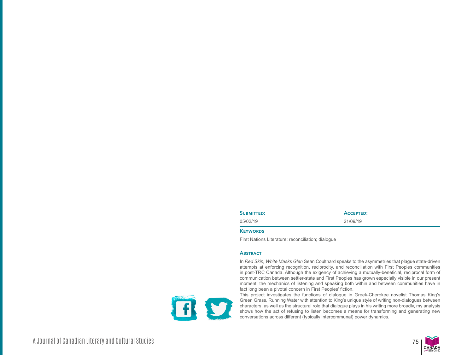| <b>SUBMITTED:</b> | <b>ACCEPTED:</b> |
|-------------------|------------------|
| 05/02/19          | 21/09/19         |

## **Keywords**

First Nations Literature; reconciliation; dialogue

## **Abstract**

In *Red Skin, White Masks Glen* Sean Coulthard speaks to the asymmetries that plague state-driven attempts at enforcing recognition, reciprocity, and reconciliation with First Peoples communities in post-TRC Canada. Although the exigency of achieving a mutually-beneficial, reciprocal form of communication between settler-state and First Peoples has grown especially visible in our present moment, the mechanics of listening and speaking both within and between communities have in fact long been a pivotal concern in First Peoples' fiction.

This project investigates the functions of dialogue in Greek-Cherokee novelist Thomas King's Green Grass, Running Water with attention to King's unique style of writing non-dialogues between characters, as well as the structural role that dialogue plays in his writing more broadly, my analysis shows how the act of refusing to listen becomes a means for transforming and generating new conversations across different (typically intercommunal) power dynamics.



A Journal of Canadian Literary and Cultural Studies 75

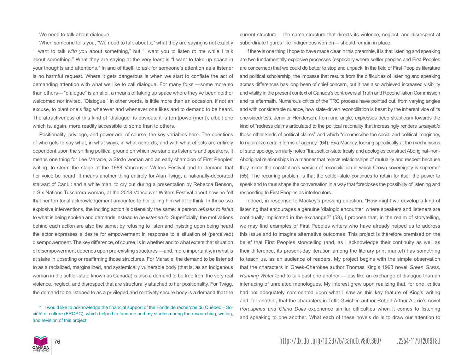We need to talk about dialogue.

When someone tells you, "We need to talk about x," what they are saying is not exactly "I want to talk *with you* about something," but "I want you to listen *to me* while I talk about something." What they are saying at the very least is "I want to take up space in your thoughts and attentions." In and of itself, to ask for someone's attention as a listener is no harmful request. Where it gets dangerous is when we start to conflate the act of demanding attention with what we like to call dialogue. For many folks —some more so than others— "dialogue" is an alibi, a means of taking up space where they've been neither welcomed nor invited. "Dialogue," in other words, is little more than an occasion, if not an excuse, to plant one's flag wherever and whenever one likes and to demand to be heard. The attractiveness of this kind of "dialogue" is obvious: it is (em)power(ment), albeit one which is, again, more readily accessible to some than to others.

Positionality, privilege, and power are, of course, the key variables here. The questions of who gets to say what, in what ways, in what contexts, and with what effects are entirely dependent upon the shifting political ground on which we stand as listeners and speakers. It means one thing for Lee Maracle, a Sto:lo woman and an early champion of First Peoples' writing, to storm the stage at the 1988 Vancouver Writers Festival and to demand that her voice be heard. It means another thing entirely for Alan Twigg, a nationally-decorated stalwart of CanLit and a white man, to cry out during a presentation by Rebecca Benson, a Six Nations Tuscarora woman, at the 2018 Vancouver Writers Festival about how he felt that her territorial acknowledgement amounted to her telling him what to think. In these two explosive interventions, the inciting action is ostensibly the same: a person *refuses to listen* to what is being spoken and demands instead *to be listened to*. Superficially, the motivations behind each action are also the same: by refusing to listen and insisting upon being heard the actor expresses a desire for empowerment in response to a situation of (perceived) disempowerment. The key difference, of course, is in whether and to what extent that situation of disempowerment depends upon pre-existing structures —and, more importantly, in what is at stake in upsetting or reaffirming those structures. For Maracle, the demand to be listened to as a racialized, marginalized, and systemically vulnerable body (that is, as an Indigenous woman in the settler-state known as Canada) is also a demand to be free from the very real violence, neglect, and disrespect that are structurally attached to her positionality. For Twigg, the demand to be listened to as a privileged and relatively secure body is a demand that the

\* I would like to acknowledge the financial support of the Fonds de recherche du Québec – Société et culture (FRQSC), which helped to fund me and my studies during the researching, writing, and revision of this project.

current structure —the same structure that directs its violence, neglect, and disrespect at subordinate figures like Indigenous women— should remain in place.

If there is one thing I hope to have made clear in this preamble, it is that listening and speaking are two fundamentally explosive processes (especially where settler peoples and First Peoples are concerned) that we could do better to stop and unpack. In the field of First Peoples literature and political scholarship, the impasse that results from the difficulties of listening and speaking across differences has long been of chief concern, but it has also achieved increased visibility and vitality in the present context of Canada's controversial Truth and Reconciliation Commission and its aftermath. Numerous critics of the TRC process have pointed out, from varying angles and with considerable nuance, how state-driven reconciliation is beset by the inherent vice of its one-sidedness. Jennifer Henderson, from one angle, expresses deep skepticism towards the kind of "redress claims articulated to the political rationality that increasingly renders *unsayable* those other kinds of political claims" and which "circumscribe the social and political imaginary, to naturalize certain forms of agency" (64). Eva Mackey, looking specifically at the mechanisms of state apology, similarly notes "that settler-state treaty and apologies construct Aboriginal–non-Aboriginal relationships in a manner that rejects relationships of mutuality and respect because they mirror the constitution's version of reconciliation in which Crown sovereignty is supreme" (55). The recurring problem is that the settler-state continues to retain for itself the power to speak and to thus shape the conversation in a way that forecloses the possibility of listening and responding to First Peoples as interlocutors.

Indeed, in response to Mackey's pressing question, "How might we develop a kind of listening that encourages a genuine 'dialogic encounter' where speakers and listeners are continually implicated in the exchange?" (59), I propose that, in the realm of storytelling, we may find examples of First Peoples writers who have already helped us to address this issue and to imagine alternative outcomes. This project is therefore premised on the belief that First Peoples storytelling (and, as I acknowledge their continuity as well as their difference, its present-day iteration among the literary print market) has something to teach us, as an audience of readers. My project begins with the simple observation that the characters in Greek-Cherokee author Thomas King's 1993 novel *Green Grass, Running Water* tend to talk past one another —less like an exchange of dialogue than an interlacing of unrelated monologues. My interest grew upon realizing that, for one, critics had not adequately commented upon what I saw as this key feature of King's writing and, for another, that the characters in Tetlit Gwich'in author Robert Arthur Alexie's novel *Porcupines and China Dolls* experience similar difficulties when it comes to listening and speaking to one another. What each of these novels do is to draw our attention to

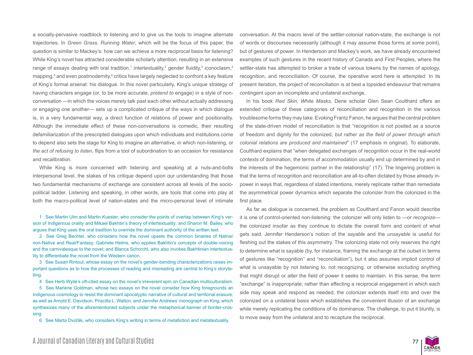a socially-pervasive roadblock to listening and to give us the tools to imagine alternate trajectories. In *Green Grass, Running Water*, which will be the focus of this paper, the question is similar to Mackey's: how can we achieve a more reciprocal basis for listening? While King's novel has attracted considerable scholarly attention, resulting in an extensive range of essays dealing with oral tradition,<sup>1</sup> intertextuality,<sup>2</sup> gender fluidity,<sup>3</sup> iconoclasm,<sup>4</sup> mapping,<sup>5</sup> and even postmodernity,<sup>6</sup> critics have largely neglected to confront a key feature of King's formal arsenal: his dialogue. In this novel particularly, King's unique strategy of having characters engage (or, to be more accurate, *pretend to* engage) in a style of nonconversation —in which the voices merely talk past each other without actually addressing or engaging one another— sets up a complicated critique of the ways in which dialogue is, in a very fundamental way, a direct function of relations of power and positionality. Although the immediate effect of these non-conversations is comedic, their resulting defamiliarization of the prescripted dialogues upon which individuals and institutions come to depend also sets the stage for King to imagine an alternative, in which non-listening, or *the act of refusing to listen*, flips from a tool of subordination to an occasion for resistance and recalibration.

While King is more concerned with listening and speaking at a nuts-and-bolts interpersonal level, the stakes of his critique depend upon our understanding that those two fundamental mechanisms of exchange are consistent across all levels of the sociopolitical ladder. Listening and speaking, in other words, are tools that come into play at both the macro-political level of nation-states and the micro-personal level of intimate

1 See Martin Ulm and Martin Kuester, who consider the points of overlap between King's version of Indigenous orality and Mikael Bakhtin's theory of intertextuality; and Sharon M. Bailey, who argues that King uses the oral tradition to override the dominant authority of the written text.

2 See Greg Bechtel, who considers how the novel upsets the common binaries of Native/ non-Native and Real/Fantasy; Gabriele Helms, who applies Bakhtin's concepts of double-voicing and the carnivalesque to the novel; and Blanca Schorcht, who also invokes Bakhtinian intertextuality to differentiate the novel from the Western canon.

3 See Susan Rintoul, whose essay on the novel's gender-bending characterizations raises important questions as to how the processes of reading and misreading are central to King's storytelling.

4 See Herb Wyile's oft-cited essay on the novel's irreverent spin on Canadian multiculturalism.

5 See Marlene Goldman, whose two essays on the novel consider how King foregrounds an Indigenous cosmology to resist the dominant apocalyptic narrative of cultural and territorial erasure; as well as Arnold E. Davidson, Priscilla L. Walton, and Jennifer Andrews' monograph on King, which synthesizes many of the aforementioned subjects under the metaphorical banner of border-crossing.

6 See Marta Dvořák, who considers King's writing in terms of metafiction and metatextuality.

conversation. At the macro level of the settler-colonial nation-state, the exchange is not of words or discourses necessarily (although it may assume those forms at some point), but of gestures of power. In Henderson and Mackey's work, we have already encountered examples of such gestures in the recent history of Canada and First Peoples, where the settler-state has attempted to broker a trade of various tokens by the names of apology, recognition, and reconciliation. Of course, the operative word here is *attempted*. In its present iteration, the project of reconciliation is at best a lopsided endeavour that remains contingent upon an incomplete and unilateral exchange.

In his book *Red Skin, White Masks*, Dene scholar Glen Sean Coulthard offers an extended critique of these categories of reconciliation and recognition in the various troublesome forms they may take. Evoking Frantz Fanon, he argues that the central problem of the state-driven model of reconciliation is that "recognition is not posited as a source of freedom and dignity for the colonized, *but rather as the field of power through which colonial relations are produced and maintained*" (17 emphasis in original). To elaborate, Coulthard explains that "when delegated exchanges of recognition occur in the real-world contexts of domination, the terms of accommodation usually end up determined by and in the interests of the hegemonic partner in the relationship" (17). The lingering problem is that the terms of recognition and reconciliation are all-to-often dictated by those already inpower in ways that, regardless of stated intentions, merely replicate rather than remediate the asymmetrical power dynamics which separate the colonizer from the colonized in the first place.

As far as dialogue is concerned, the problem as Coulthard and Fanon would describe it is one of control-oriented non-listening: the colonizer will only listen to —or *recognize* the colonized insofar as they continue to dictate the overall form and content of what gets said. Jennifer Henderson's notion of the *sayable* and the *unsayable* is useful for fleshing out the stakes of this asymmetry. The colonizing state not only reserves the right to determine what is sayable (by, for instance, framing the exchange at the outset in terms of gestures like "recognition" and "reconciliation"), but it also assumes implicit control of what is unsayable by not listening to, not recognizing, or otherwise excluding anything that might disrupt or alter the field of power it seeks to maintain. In this sense, the term "exchange" is inappropriate; rather than effecting a reciprocal engagement in which each side may speak and respond as needed, the colonizer extends itself into and over the colonized on a unilateral basis which establishes the convenient illusion of an exchange while merely replicating the conditions of its dominance. The challenge, to put it bluntly, is to move away from the unilateral and to recapture the reciprocal.

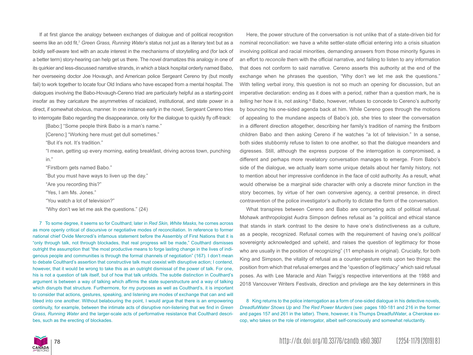If at first glance the analogy between exchanges of dialogue and of political recognition seems like an odd fit,<sup>7</sup> Green Grass, Running Water's status not just as a literary text but as a boldly self-aware text with an acute interest in the mechanisms of storytelling and (for lack of a better term) story-hearing can help get us there. The novel dramatizes this analogy in one of its quirkier and less-discussed narrative strands, in which a black hospital orderly named Babo, her overseeing doctor Joe Hovaugh, and American police Sergeant Cereno try (but mostly fail) to work together to locate four Old Indians who have escaped from a mental hospital. The dialogues involving the Babo-Hovaugh-Cereno triad are particularly helpful as a starting-point insofar as they caricature the asymmetries of racialized, institutional, and state power in a direct, if somewhat obvious, manner. In one instance early in the novel, Sergeant Cereno tries to interrogate Babo regarding the disappearance, only for the dialogue to quickly fly off-track:

[Babo:] "Some people think Babo is a man's name."

[Cereno:] "Working here must get dull sometimes."

"But it's not. It's tradition."

"I mean, getting up every morning, eating breakfast, driving across town, punching in."

"Firstborn gets named Babo."

"But you must have ways to liven up the day."

"Are you recording this?"

"Yes, I am Ms. Jones."

"You watch a lot of television?"

"Why don't we let me ask the questions." (24)

7 To some degree, it seems so for Coulthard; later in *Red Skin, White Masks*, he comes across as more openly critical of discursive or negotiative modes of reconciliation. In reference to former national chief Ovide Mercredi's infamous statement before the Assembly of First Nations that it is "only through talk, not through blockades, that real progress will be made," Coulthard dismisses outright the assumption that "the most productive means to forge lasting change in the lives of indigenous people and communities is through the formal channels of negotiation" (167). I don't mean to debate Coulthard's assertion that constructive talk must coexist with disruptive action; I contend, however, that it would be wrong to take this as an outright dismissal of the power of talk. For one, his is not a question of talk itself, but of how that talk unfolds. The subtle distinction in Coulthard's argument is between a way of talking which affirms the state superstructure and a way of talking which disrupts that structure. Furthermore, for my purposes as well as Coulthard's, it is important to consider that actions, gestures, speaking, and listening are modes of exchange that can and will bleed into one another. Without belabouring the point, I would argue that there is an empowering continuity, for example, between the intimate acts of disruptive non-listening that we find in *Green Grass, Running Water* and the larger-scale acts of performative resistance that Coulthard describes, such as the erecting of blockades.

Here, the power structure of the conversation is not unlike that of a state-driven bid for nominal reconciliation: we have a white settler-state official entering into a crisis situation involving political and racial minorities, demanding answers from those minority figures in an effort to *reconcile* them with the official narrative, and failing to listen to any information that does not conform to said narrative. Cereno asserts this authority at the end of the exchange when he phrases the question, "Why don't we let me ask the questions." With telling verbal irony, this question is not so much an opening for discussion, but an imperative declaration: ending as it does with a period, rather than a question mark, he is *telling* her how it is, not asking.<sup>8</sup> Babo, however, refuses to concede to Cereno's authority by bouncing his one-sided agenda back at him. While Cereno goes through the motions of appealing to the mundane aspects of Babo's job, she tries to steer the conversation in a different direction altogether, describing her family's tradition of naming the firstborn children Babo and then asking Cereno if he watches "a lot of television." In a sense, both sides stubbornly refuse to listen to one another, so that the dialogue meanders and digresses. Still, although the express purpose of the interrogation is compromised, a different and perhaps more revelatory conversation manages to emerge. From Babo's side of the dialogue, we actually learn some unique details about her family history, not to mention about her impressive confidence in the face of cold authority. As a result, what would otherwise be a marginal side character with only a discrete minor function in the story becomes, by virtue of her own conversive agency, a central presence, in direct contravention of the police investigator's authority to dictate the form of the conversation.

What transpires between Cereno and Babo are competing acts of political refusal. Mohawk anthropologist Audra Simpson defines refusal as "a political and ethical stance that stands in stark contrast to the desire to have one's distinctiveness as a culture, as a people, recognized. Refusal comes with the requirement of having one's *political*  sovereignty acknowledged and upheld, and raises the question of legitimacy for those who are usually in the position of recognizing" (11 emphasis in original). Crucially, for both King and Simpson, the vitality of refusal as a counter-gesture rests upon two things: the position from which that refusal emerges and the "question of legitimacy" which said refusal poses. As with Lee Maracle and Alan Twigg's respective interventions at the 1988 and 2018 Vancouver Writers Festivals, direction and privilege are the key determiners in this

8 King returns to the police interrogation as a form of one-sided dialogue in his detective novels, *DreadfulWater Shows Up* and *The Red Power Murders* (see: pages 180-181 and 216 in the former and pages 157 and 261 in the latter). There, however, it is Thumps DreadfulWater, a Cherokee excop, who takes on the role of interrogator, albeit self-consciously and somewhat reluctantly.

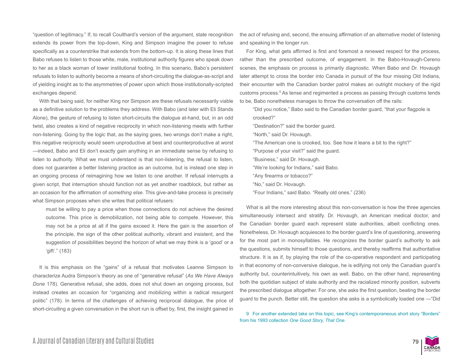"question of legitimacy." If, to recall Coulthard's version of the argument, state recognition extends its power from the top-down, King and Simpson imagine the power to refuse specifically as a counterstrike that extends from the bottom-up. It is along these lines that Babo refuses to listen to those white, male, institutional authority figures who speak down to her as a black woman of lower institutional footing. In this scenario, Babo's persistent refusals to listen to authority become a means of short-circuiting the dialogue-as-script and of yielding insight as to the asymmetries of power upon which those institutionally-scripted exchanges depend.

With that being said, for neither King nor Simpson are these refusals necessarily viable as a definitive solution to the problems they address. With Babo (and later with Eli Stands Alone), the gesture of refusing to listen short-circuits the dialogue at-hand, but, in an odd twist, also creates a kind of negative reciprocity in which non-listening meets with further non-listening. Going by the logic that, as the saying goes, two wrongs don't make a right, this negative reciprocity would seem unproductive at best and counterproductive at worst —indeed, Babo and Eli don't exactly gain anything in an immediate sense by refusing to listen to authority. What we must understand is that non-listening, the refusal to listen, does not guarantee a better listening practice as an outcome, but is instead one step in an ongoing process of reimagining how we listen to one another. If refusal interrupts a given script, that interruption should function not as yet another roadblock, but rather as an occasion for the affirmation of *something else*. This give-and-take process is precisely what Simpson proposes when she writes that political refusers:

must be willing to pay a price when those connections do not achieve the desired outcome. This price is demobilization, not being able to compete. However, this may not be a price at all if the gains exceed it. Here the gain is the assertion of the principle, the sign of the other political authority, vibrant and insistent, and the suggestion of possibilities beyond the horizon of what we may think is a 'good' or a 'gift'." (183)

It is this emphasis on the "gains" of a refusal that motivates Leanne Simpson to characterize Audra Simpson's theory as one of "generative refusal" (*As We Have Always Done* 178). Generative refusal, she adds, does not shut down an ongoing process, but instead creates an occasion for "organizing and mobilizing within a radical resurgent politic" (178). In terms of the challenges of achieving reciprocal dialogue, the price of short-circuiting a given conversation in the short run is offset by, first, the insight gained in the act of refusing and, second, the ensuing affirmation of an alternative model of listening and speaking in the longer run.

For King, what gets affirmed is first and foremost a renewed respect for the process, rather than the prescribed outcome, of engagement. In the Babo-Hovaugh-Cereno scenes, the emphasis on process is primarily diagnostic. When Babo and Dr. Hovaugh later attempt to cross the border into Canada in pursuit of the four missing Old Indians, their encounter with the Canadian border patrol makes an outright mockery of the rigid customs process.9 As tense and regimented a process as passing through customs tends to be, Babo nonetheless manages to throw the conversation off the rails:

"Did you notice," Babo said to the Canadian border guard, "that your flagpole is crooked?"

"Destination?" said the border guard.

"North," said Dr. Hovaugh.

- "The American one is crooked, too. See how it leans a bit to the right?"
- "Purpose of your visit?" said the guard.
- "Business," said Dr. Hovaugh.
- "We're looking for Indians," said Babo.
- "Any firearms or tobacco?"
- "No," said Dr. Hovaugh.
- "Four Indians," said Babo. "Really old ones." (236)

What is all the more interesting about this non-conversation is how the three agencies simultaneously intersect and stratify. Dr. Hovaugh, an American medical doctor, and the Canadian border guard each represent state authorities, albeit conflicting ones. Nonetheless, Dr. Hovaugh acquiesces to the border guard's line of questioning, answering for the most part in monosyllables. He *recognizes* the border guard's authority to ask the questions, submits himself to those questions, and thereby reaffirms that authoritative structure. It is as if, by playing the role of the co-operative respondent and participating in that economy of non-conversive dialogue, he is edifying not only the Canadian guard's authority but, counterintuitively, his own as well. Babo, on the other hand, representing both the quotidian subject of state authority and the racialized minority position, subverts the prescribed dialogue altogether. For one, she asks the first question, beating the border guard to the punch. Better still, the question she asks is a symbolically loaded one —"Did



<sup>9</sup> For another extended take on this topic, see King's contemporaneous short story "Borders" from his 1993 collection *One Good Story, That One*.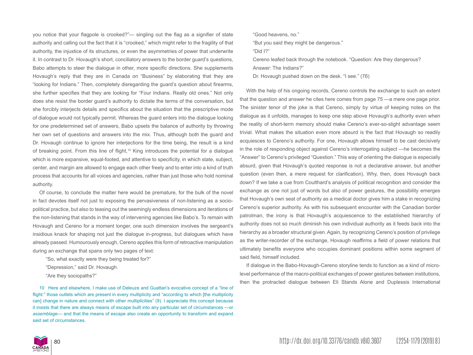you notice that your flagpole is crooked?"— singling out the flag as a signifier of state authority and calling out the fact that it is "crooked," which might refer to the fragility of that authority, the injustice of its structures, or even the asymmetries of power that underwrite it. In contrast to Dr. Hovaugh's short, conciliatory answers to the border guard's questions, Babo attempts to steer the dialogue in other, more specific directions. She supplements Hovaugh's reply that they are in Canada on "Business" by elaborating that they are "looking for Indians." Then, completely disregarding the guard's question about firearms, she further specifies that they are looking for "Four Indians. Really old ones." Not only does she resist the border guard's authority to dictate the terms of the conversation, but she forcibly interjects details and specifics about the situation that the prescriptive mode of dialogue would not typically permit. Whereas the guard enters into the dialogue looking for one predetermined set of answers, Babo upsets the balance of authority by throwing her own set of questions and answers into the mix. Thus, although both the guard and Dr. Hovaugh continue to ignore her interjections for the time being, the result is a kind of breaking point. From this line of flight,<sup>10</sup> King introduces the potential for a dialogue which is more expansive, equal-footed, and attentive to specificity, in which state, subject, center, and margin are allowed to engage each other freely and to enter into a kind of truth process that accounts for all voices and agencies, rather than just those who hold nominal authority.

Of course, to conclude the matter here would be premature, for the bulk of the novel in fact devotes itself not just to exposing the pervasiveness of non-listening as a sociopolitical practice, but also to teasing out the seemingly endless dimensions and iterations of the non-listening that stands in the way of intervening agencies like Babo's. To remain with Hovaugh and Cereno for a moment longer, one such dimension involves the sergeant's insidious knack for shaping not just the dialogue in-progress, but dialogues which have already passed. Humourously enough, Cereno applies this form of retroactive manipulation during an exchange that spans only two pages of text:

"So, what exactly were they being treated for?"

"Depression," said Dr. Hovaugh.

"Are they sociopaths?"

10 Here and elsewhere, I make use of Deleuze and Guattari's evocative concept of a "line of flight:" those outlets which are present in every multiplicity and "according to which [the multiplicity can] change in nature and connect with other multiplicities" (9). I appreciate this concept because it insists that there are always means of escape built into any particular set of circumstances —or *assemblage*— and that the means of escape also create an opportunity to transform and expand said set of circumstances.

"Good heavens, no."

"But you said they might be dangerous."

"Did I?"

Cereno leafed back through the notebook. "Question: Are they dangerous?

Answer: The Indians?"

Dr. Hovaugh pushed down on the desk. "I see." (76)

With the help of his ongoing records, Cereno controls the exchange to such an extent that the question and answer he cites here comes from page 75 —a mere one page prior. The sinister tenor of the joke is that Cereno, simply by virtue of keeping notes on the dialogue as it unfolds, manages to keep one step above Hovaugh's authority even when the reality of short-term memory should make Cereno's ever-so-slight advantage seem trivial. What makes the situation even more absurd is the fact that Hovaugh so readily acquiesces to Cereno's authority. For one, Hovaugh allows himself to be cast decisively in the role of responding object against Cereno's interrogating subject —he becomes the "Answer" to Cereno's privileged "Question." This way of orienting the dialogue is especially absurd, given that Hovaugh's quoted response is not a declarative answer, but another question (even then, a mere request for clarification). Why, then, does Hovaugh back down? If we take a cue from Coulthard's analysis of political recognition and consider the exchange as one not just of words but also of power gestures, the possibility emerges that Hovaugh's own seat of authority as a medical doctor gives him a stake in recognizing Cereno's superior authority. As with his subsequent encounter with the Canadian border patrolman, the irony is that Hovaugh's acquiescence to the established hierarchy of authority does not so much diminish his own individual authority as it feeds back into the hierarchy as a broader structural given. Again, by recognizing Cereno's position of privilege as the writer-recorder of the exchange, Hovaugh reaffirms a field of power relations that ultimately benefits everyone who occupies dominant positions within some segment of said field, himself included.

If dialogue in the Babo-Hovaugh-Cereno storyline tends to function as a kind of microlevel performance of the macro-political exchanges of power gestures between institutions, then the protracted dialogue between Eli Stands Alone and Duplessis International

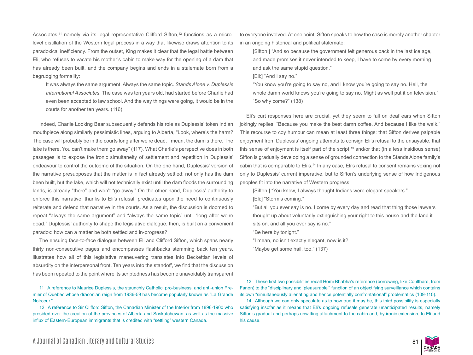Associates,<sup>11</sup> namely via its legal representative Clifford Sifton,<sup>12</sup> functions as a microlevel distillation of the Western legal process in a way that likewise draws attention to its paradoxical inefficiency. From the outset, King makes it clear that the legal battle between Eli, who refuses to vacate his mother's cabin to make way for the opening of a dam that has already been built, and the company begins and ends in a stalemate born from a begrudging formality:

It was always the same argument. Always the same topic. *Stands Alone v. Duplessis International Associates*. The case was ten years old, had started before Charlie had even been accepted to law school. And the way things were going, it would be in the courts for another ten years. (116)

Indeed, Charlie Looking Bear subsequently defends his role as Duplessis' token Indian mouthpiece along similarly pessimistic lines, arguing to Alberta, "Look, where's the harm? The case will probably be in the courts long after we're dead. I mean, the dam is there. The lake is there. You can't make them go away" (117). What Charlie's perspective does in both passages is to expose the ironic simultaneity of settlement and repetition in Duplessis' endeavour to control the outcome of the situation. On the one hand, Duplessis' version of the narrative presupposes that the matter is in fact already settled: not only has the dam been built, but the lake, which will not technically exist until the dam floods the surrounding lands, is already "there" and won't "go away." On the other hand, Duplessis' authority to enforce this narrative, thanks to Eli's refusal, predicates upon the need to continuously reiterate and defend that narrative in the courts. As a result, the discussion is doomed to repeat "always the same argument" and "always the same topic" until "long after we're dead." Duplessis' authority to shape the legislative dialogue, then, is built on a convenient paradox: how can a matter be both settled and in-progress?

The ensuing face-to-face dialogue between Eli and Clifford Sifton, which spans nearly thirty non-consecutive pages and encompasses flashbacks stemming back ten years, illustrates how all of this legislative maneuvering translates into Beckettian levels of absurdity on the interpersonal front. Ten years into the standoff, we find that the discussion has been repeated to the point where its scriptedness has become unavoidably transparent

11 A reference to Maurice Duplessis, the staunchly Catholic, pro-business, and anti-union Premier of Quebec whose draconian reign from 1936-59 has become popularly known as "La Grande Noirceur."

12 A reference to Sir Clifford Sifton, the Canadian Minister of the Interior from 1896-1900 who presided over the creation of the provinces of Alberta and Saskatchewan, as well as the massive influx of Eastern-European immigrants that is credited with "settling" western Canada.

to everyone involved. At one point, Sifton speaks to how the case is merely another chapter in an ongoing historical and political stalemate:

[Sifton:] "And so because the government felt generous back in the last ice age, and made promises it never intended to keep, I have to come by every morning and ask the same stupid question."

[Eli:] "And I say no."

"You know you're going to say no, and I know you're going to say no. Hell, the whole damn world knows you're going to say no. Might as well put it on television." "So why come?" (138)

Eli's curt responses here are crucial, yet they seem to fall on deaf ears when Sifton jokingly replies, "Because you make the best damn coffee. And because I like the walk." This recourse to coy humour can mean at least three things: that Sifton derives palpable enjoyment from Duplessis' ongoing attempts to consign Eli's refusal to the unsayable, that this sense of enjoyment is itself part of the script, $13$  and/or that (in a less insidious sense) Sifton is gradually developing a sense of grounded connection to the Stands Alone family's cabin that is comparable to Eli's.<sup>14</sup> In any case, Eli's refusal to consent remains vexing not only to Duplessis' current imperative, but to Sifton's underlying sense of how Indigenous peoples fit into the narrative of Western progress:

[Sifton:] "You know, I always thought Indians were elegant speakers."

[Eli:] "Storm's coming."

"But all you ever say is no. I come by every day and read that thing those lawyers thought up about voluntarily extinguishing your right to this house and the land it sits on, and all you ever say is no."

"Be here by tonight."

"I mean, no isn't exactly elegant, now is it?

"Maybe get some hail, too." (137)

13 These first two possibilities recall Homi Bhabha's reference (borrowing, like Coulthard, from Fanon) to the "disciplinary and 'pleasurable'" function of an objectifying surveillance which contains its own "simultaneously alienating and hence potentially confrontational" problematics (109-110).

14 Although we can only speculate as to how true it may be, this third possibility is especially satisfying insofar as it means that Eli's ongoing refusals generate unanticipated results, namely Sifton's gradual and perhaps unwitting attachment to the cabin and, by ironic extension, to Eli and his cause.

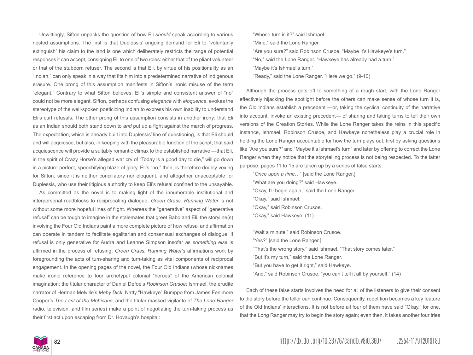Unwittingly, Sifton unpacks the question of how Eli *should* speak according to various nested assumptions. The first is that Duplessis' ongoing demand for Eli to "voluntarily extinguish" his claim to the land is one which deliberately restricts the range of potential responses it can accept, consigning Eli to one of two roles: either that of the pliant volunteer or that of the stubborn refuser. The second is that Eli, by virtue of his positionality as an "Indian," can only speak in a way that fits him into a predetermined narrative of Indigenous erasure. One prong of this assumption manifests in Sifton's ironic misuse of the term "elegant." Contrary to what Sifton believes, Eli's simple and consistent answer of "no" could not be more elegant. Sifton, perhaps confusing *elegance* with *eloquence*, evokes the stereotype of the well-spoken poeticizing Indian to express his own inability to understand Eli's curt refusals. The other prong of this assumption consists in another irony: that Eli as an Indian should both stand down to *and* put up a fight against the march of progress. The expectation, which is already built into Duplessis' line of questioning, is that Eli should and will acquiesce, but also, in keeping with the pleasurable function of the script, that said acquiescence will provide a suitably romantic climax to the established narrative —that Eli, in the spirit of Crazy Horse's alleged war cry of "Today is a good day to die," will go down in a picture-perfect, speechifying blaze of glory. Eli's "no," then, is therefore doubly vexing for Sifton, since it is neither conciliatory nor eloquent, and altogether unacceptable for Duplessis, who use their litigious authority to keep Eli's refusal confined to the unsayable.

As committed as the novel is to making light of the innumerable institutional and interpersonal roadblocks to reciprocating dialogue, *Green Grass, Running Water* is not without some more hopeful lines of flight. Whereas the "generative" aspect of "generative refusal" can be tough to imagine in the stalemates that greet Babo and Eli, the storyline(s) involving the Four Old Indians paint a more complete picture of how refusal and affirmation can operate in tandem to facilitate egalitarian and consensual exchanges of dialogue. If refusal is only generative for Audra and Leanne Simpson insofar as *something else* is affirmed in the process of refusing, *Green Grass, Running Water*'s affirmations work by foregrounding the acts of turn-sharing and turn-taking as vital components of reciprocal engagement. In the opening pages of the novel, the Four Old Indians (whose nicknames make ironic reference to four archetypal colonial "heroes" of the American colonial imagination: the titular character of Daniel Defoe's *Robinson Crusoe*; Ishmael, the erudite narrator of Herman Melville's *Moby Dick*; Natty "Hawkeye" Bumppo from James Fenimore Cooper's *The Last of the Mohicans*; and the titular masked vigilante of *The Lone Ranger*  radio, television, and film series) make a point of negotiating the turn-taking process as their first act upon escaping from Dr. Hovaugh's hospital:

"Whose turn is it?" said Ishmael.

"Mine," said the Lone Ranger.

"Are you sure?" said Robinson Crusoe. "Maybe it's Hawkeye's turn."

"No," said the Lone Ranger. "Hawkeye has already had a turn."

"Maybe it's Ishmael's turn."

"Ready," said the Lone Ranger. "Here we go." (9-10)

Although the process gets off to something of a rough start, with the Lone Ranger effectively hijacking the spotlight before the others can make sense of whose turn it is, the Old Indians establish a precedent —or, taking the cyclical continuity of the narrative into account, invoke an existing precedent— of sharing and taking turns to tell their own versions of the Creation Stories. While the Lone Ranger takes the reins in this specific instance, Ishmael, Robinson Crusoe, and Hawkeye nonetheless play a crucial role in holding the Lone Ranger accountable for how the turn plays out, first by asking questions like "Are you sure?" and "Maybe it's Ishmael's turn" and later by offering to correct the Lone Ranger when they notice that the storytelling process is not being respected. To the latter purpose, pages 11 to 15 are taken up by a series of false starts:

- "*Once upon a time…*" [said the Lone Ranger.]
- "What are you doing?" said Hawkeye. "Okay, I'll begin again," said the Lone Ranger.
- "Okay," said Ishmael.
- "Okay," said Robinson Crusoe.
- "Okay," said Hawkeye. (11)

"Wait a minute," said Robinson Crusoe.

- "Yes?" [said the Lone Ranger.]
- "That's the wrong story," said Ishmael. "That story comes later."
- "But it's my turn," said the Lone Ranger.
- "But you have to get it right," said Hawkeye.
- "And," said Robinson Crusoe, "you can't tell it all by yourself." (14)

Each of these false starts involves the need for all of the listeners to give their consent to the story before the teller can continue. Consequently, repetition becomes a key feature of the Old Indians' interactions. It is not before all four of them have said "Okay," for one, that the Long Ranger may try to begin the story again; even then, it takes another four tries

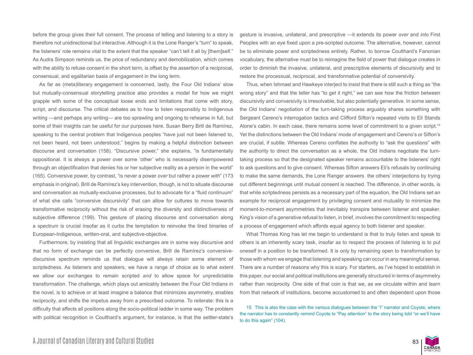before the group gives their full consent. The process of telling and listening to a story is therefore not unidirectional but interactive. Although it is the Lone Ranger's "turn" to speak, the listeners' role remains vital to the extent that the speaker "can't tell it all by [them]self." As Audra Simpson reminds us, the price of redundancy and demobilization, which comes with the ability to refuse consent in the short term, is offset by the assertion of a reciprocal, consensual, and egalitarian basis of engagement in the long term.

As far as (meta)literary engagement is concerned, lastly, the Four Old Indians' slow but mutually-consensual storytelling practice also provides a model for how we might grapple with some of the conceptual loose ends and limitations that come with story, script, and discourse. The critical debates as to how to listen responsibly to Indigenous writing —and perhaps any writing— are too sprawling and ongoing to rehearse in full, but some of their insights can be useful for our purposes here. Susan Berry Brill de Ramírez, speaking to the central problem that Indigenous peoples "have just not been listened to, not been heard, not been understood," begins by making a helpful distinction between discourse and conversation (158). "Discursive power," she explains, "is fundamentally oppositional. It is always a power over some 'other' who is necessarily disempowered through an objectification that denies his or her subjective reality as a person in the world" (165). Conversive power, by contrast, "is never a power *over* but rather a power *with*" (173 emphasis in original). Brill de Ramírez's key intervention, though, is not to situate discourse and conversation as mutually-exclusive processes, but to advocate for a "fluid continuum" of what she calls "conversive discursivity" that can allow for cultures to move towards transformative reciprocity without the risk of erasing the diversity and distinctiveness of subjective difference (199). This gesture of placing discourse and conversation along a spectrum is crucial insofar as it curbs the temptation to reinvoke the tired binaries of European-Indigenous, written-oral, and subjective-objective.

Furthermore, by insisting that all linguistic exchanges are in some way discursive and that no form of exchange can be perfectly conversive, Brill de Ramírez's conversivediscursive spectrum reminds us that dialogue will always retain some element of scriptedness. As listeners and speakers, we have a range of choice as to what extent we allow our exchanges to remain scripted *and* to allow space for unpredictable transformation. The challenge, which plays out amicably between the Four Old Indians in the novel, is to achieve or at least imagine a balance that minimizes asymmetry, enables reciprocity, and shifts the impetus away from a prescribed outcome. To reiterate: this is a difficulty that affects all positions along the socio-political ladder in some way. The problem with political recognition in Coulthard's argument, for instance, is that the settler-state's gesture is invasive, unilateral, and prescriptive —it extends its power *over* and *into* First Peoples with an eye fixed upon a pre-scripted outcome. The alternative, however, cannot be to eliminate power and scriptedness entirely. Rather, to borrow Coulthard's Fanonian vocabulary, the alternative must be to reimagine the field of power that dialogue creates in order to diminish the invasive, unilateral, and prescriptive elements of discursivity and to restore the processual, reciprocal, and transformative potential of conversivity.

Thus, when Ishmael and Hawkeye interject to insist that there is still such a thing as "the wrong story" and that the teller has "to get it right," we can see how the friction between discursivity and conversivity is irresolvable, but also potentially generative. In some sense, the Old Indians' negotiation of the turn-taking process arguably shares something with Sergeant Cereno's interrogation tactics and Clifford Sifton's repeated visits to Eli Stands Alone's cabin. In each case, there remains some level of commitment to a given script.<sup>15</sup> Yet the distinctions between the Old Indians' mode of engagement and Cereno's or Sifton's are crucial, if subtle. Whereas Cereno conflates the authority to "ask the questions" with the authority to direct the conversation as a whole, the Old Indians negotiate the turntaking process so that the designated speaker remains accountable to the listeners' right to ask questions and to give consent. Whereas Sifton answers Eli's refusals by continuing to make the same demands, the Lone Ranger answers the others' interjections by trying out different beginnings until mutual consent is reached. The difference, in other words, is that while scriptedness persists as a necessary part of the equation, the Old Indians set an example for reciprocal engagement by privileging consent and mutuality to minimize the moment-to-moment asymmetries that inevitably transpire between listener and speaker. King's vision of a generative refusal to listen, in brief, involves the commitment to respecting a process of engagement which affords equal agency to both listener and speaker.

What Thomas King has let me begin to understand is that to truly listen and speak to others is an inherently scary task, insofar as to respect the process of listening is to put oneself in a position to be transformed. It is only by remaining open to transformation by those with whom we engage that listening and speaking can occur in any meaningful sense. There are a number of reasons why this is scary. For starters, as I've hoped to establish in this paper, our social and political institutions are generally structured in terms of asymmetry rather than reciprocity. One side of that coin is that we, as we circulate within and learn from that network of institutions, become accustomed to and often dependent upon those

15 This is also the case with the various dialogues between the "I" narrator and Coyote, where the narrator has to constantly remind Coyote to "Pay attention" to the story being told "or we'll have to do this again" (104).

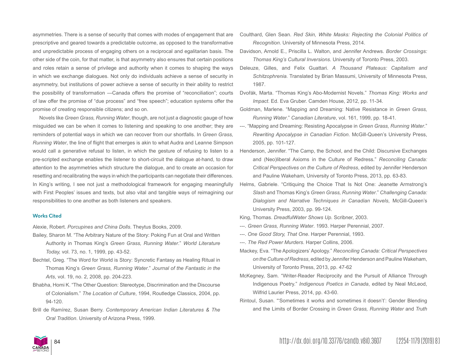asymmetries. There is a sense of security that comes with modes of engagement that are prescriptive and geared towards a predictable outcome, as opposed to the transformative and unpredictable process of engaging others on a reciprocal and egalitarian basis. The other side of the coin, for that matter, is that asymmetry also ensures that certain positions and roles retain a sense of privilege and authority when it comes to shaping the ways in which we exchange dialogues. Not only do individuals achieve a sense of security in asymmetry, but institutions of power achieve a sense of security in their ability to restrict the possibility of transformation —Canada offers the promise of "reconciliation"; courts of law offer the promise of "due process" and "free speech"; education systems offer the promise of creating responsible citizens; and so on.

Novels like *Green Grass, Running Water*, though, are not just a diagnostic gauge of how misguided we can be when it comes to listening and speaking to one another; they are reminders of potential ways in which we can recover from our shortfalls. In *Green Grass, Running Water*, the line of flight that emerges is akin to what Audra and Leanne Simpson would call a generative refusal to listen, in which the gesture of refusing to listen to a pre-scripted exchange enables the listener to short-circuit the dialogue at-hand, to draw attention to the asymmetries which structure the dialogue, and to create an occasion for resetting and recalibrating the ways in which the participants can negotiate their differences. In King's writing, I see not just a methodological framework for engaging meaningfully with First Peoples' issues and texts, but also vital and tangible ways of reimagining our responsibilities to one another as both listeners and speakers.

## **Works Cited**

Alexie, Robert. *Porcupines and China Dolls*. Theytus Books, 2009.

- Bailey, Sharon M. "The Arbitrary Nature of the Story: Poking Fun at Oral and Written Authority in Thomas King's *Green Grass, Running Water*." *World Literature Today,* vol. 73, no. 1, 1999, pp. 43-52.
- Bechtel, Greg. "The Word for World is Story: Syncretic Fantasy as Healing Ritual in Thomas King's *Green Grass, Running Water*." *Journal of the Fantastic in the Arts*, vol. 19, no. 2, 2008, pp. 204-223.
- Bhabha, Homi K. "The Other Question: Stereotype, Discrimination and the Discourse of Colonialism." *The Location of Culture*, 1994, Routledge Classics, 2004, pp. 94-120.
- Brill de Ramírez, Susan Berry. *Contemporary American Indian Literatures & The Oral Tradition*. University of Arizona Press, 1999.
- Coulthard, Glen Sean. *Red Skin, White Masks: Rejecting the Colonial Politics of Recognition*. University of Minnesota Press, 2014.
- Davidson, Arnold E., Priscilla L. Walton, and Jennifer Andrews. *Border Crossings: Thomas King's Cultural Inversions*. University of Toronto Press, 2003.
- Deleuze, Gilles, and Felix Guattari. *A Thousand Plateaus: Capitalism and Schitzophrenia.* Translated by Brian Massumi, University of Minnesota Press, 1987.
- Dvořák, Marta. "Thomas King's Abo-Modernist Novels." *Thomas King: Works and Impact*. Ed. Eva Gruber. Camden House, 2012, pp. 11-34.
- Goldman, Marlene. "Mapping and Dreaming: Native Resistance in *Green Grass, Running Water*." *Canadian Literature*, vol. 161, 1999, pp. 18-41.
- ---. "Mapping and Dreaming: Resisting Apocalypse in *Green Grass, Running Water*." *Rewriting Apocalypse in Canadian Fiction*. McGill-Queen's University Press, 2005, pp. 101-127.
- Henderson, Jennifer. "The Camp, the School, and the Child: Discursive Exchanges and (Neo)liberal Axioms in the Culture of Redress." *Reconciling Canada: Critical Perspectives on the Culture of Redress*, edited by Jennifer Henderson and Pauline Wakeham, University of Toronto Press, 2013, pp. 63-83.
- Helms, Gabriele. "Critiquing the Choice That Is Not One: Jeanette Armstrong's *Slash* and Thomas King's *Green Grass, Running Water*." *Challenging Canada: Dialogism and Narrative Techniques in Canadian Novels*, McGill-Queen's University Press, 2003, pp. 99-124.
- King, Thomas. *DreadfulWater Shows Up*. Scribner, 2003.
- ---. *Green Grass, Running Water*. 1993. Harper Perennial, 2007.
- ---. *One Good Story, That One*. Harper Perennial, 1993.
- ---. *The Red Power Murders*. Harper Collins, 2006.
- Mackey, Eva. "The Apologizers' Apology." *Reconciling Canada: Critical Perspectives on the Culture of Redress*, edited by Jennifer Henderson and Pauline Wakeham, University of Toronto Press, 2013, pp. 47-62
- McKegney, Sam. "Writer-Reader Reciprocity and the Pursuit of Alliance Through Indigenous Poetry." *Indigenous Poetics in Canada*, edited by Neal McLeod, Wilfrid Laurier Press, 2014, pp. 43-60.
- Rintoul, Susan. "'Sometimes it works and sometimes it doesn't': Gender Blending and the Limits of Border Crossing in *Green Grass, Running Water* and *Truth*